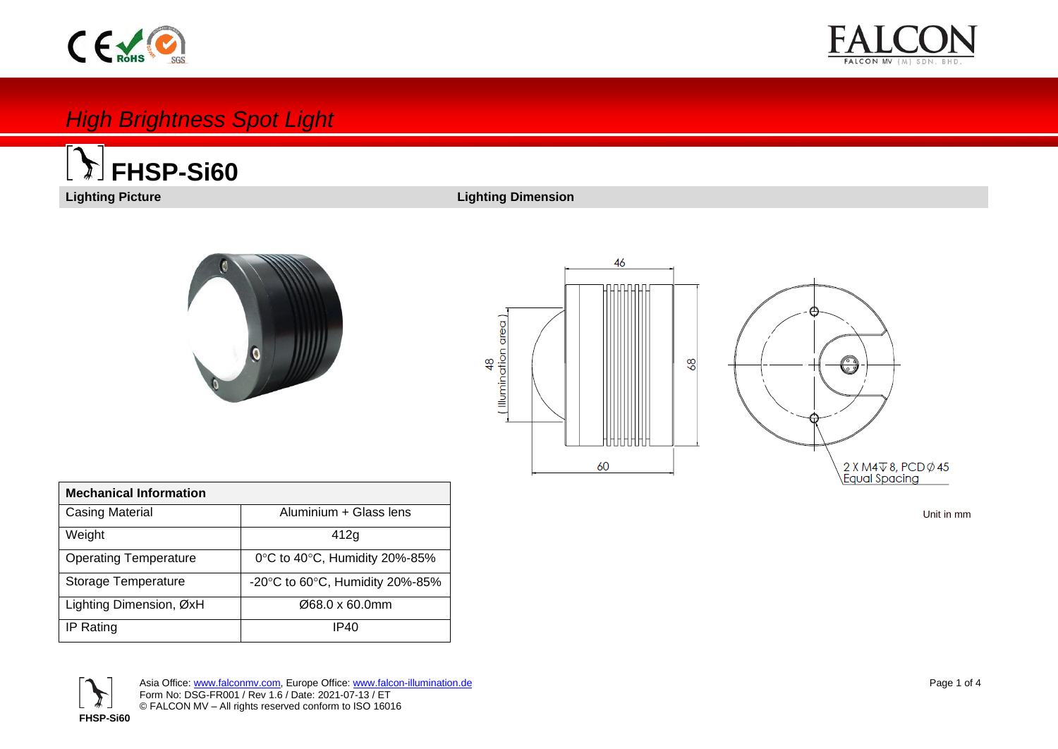# $C \n\in \n\mathbb{R}$



## *High Brightness Spot Light*



### **Lighting Picture Lighting Dimension**



i<br>I





|  | Unit in mm |  |
|--|------------|--|
|  |            |  |

| <b>Mechanical Information</b> |                                                     |
|-------------------------------|-----------------------------------------------------|
| <b>Casing Material</b>        | Aluminium + Glass lens                              |
| Weight                        | 412g                                                |
| <b>Operating Temperature</b>  | $0^{\circ}$ C to 40 $^{\circ}$ C, Humidity 20%-85%  |
| Storage Temperature           | -20 $\degree$ C to 60 $\degree$ C, Humidity 20%-85% |
| Lighting Dimension, ØxH       | Ø68.0 x 60.0mm                                      |
| IP Rating                     | IP40                                                |

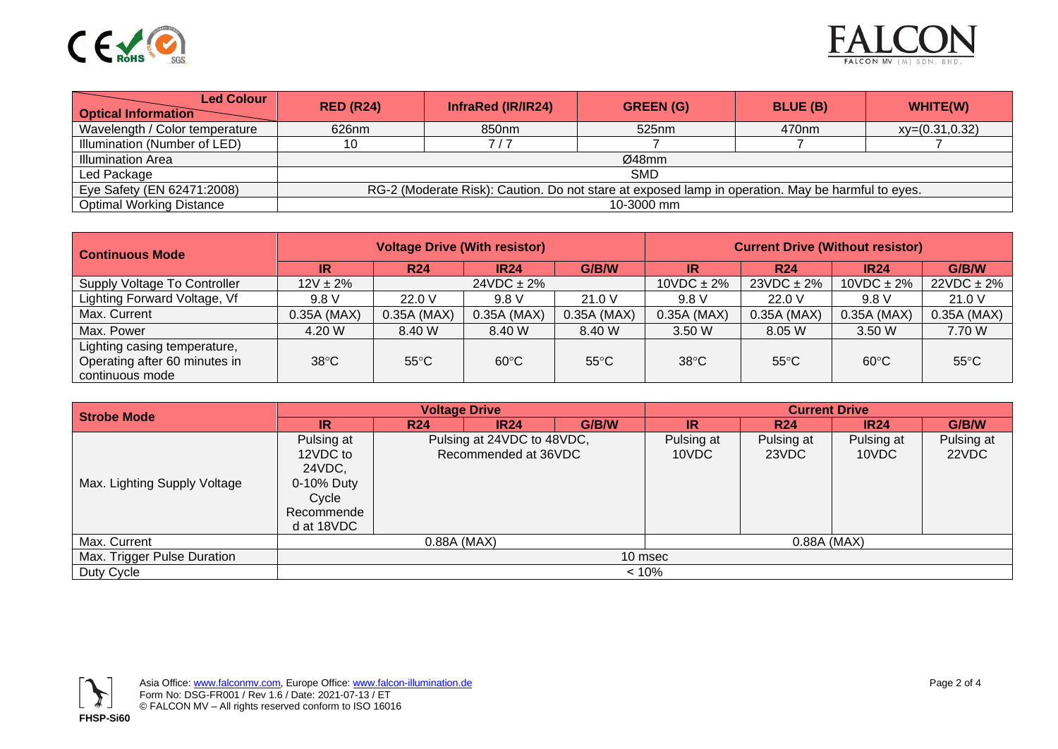



| <b>Led Colour</b><br><b>Optical Information</b> | <b>RED (R24)</b>                                                                                  | InfraRed (IR/IR24) | <b>GREEN (G)</b> | <b>BLUE (B)</b>   | WHITE(W)         |  |
|-------------------------------------------------|---------------------------------------------------------------------------------------------------|--------------------|------------------|-------------------|------------------|--|
| Wavelength / Color temperature                  | 626nm                                                                                             | 850nm              | 525nm            | 470 <sub>nm</sub> | $xy=(0.31,0.32)$ |  |
| Illumination (Number of LED)                    | 10                                                                                                | 717                |                  |                   |                  |  |
| Illumination Area                               | Ø48mm                                                                                             |                    |                  |                   |                  |  |
| Led Package                                     | <b>SMD</b>                                                                                        |                    |                  |                   |                  |  |
| Eye Safety (EN 62471:2008)                      | RG-2 (Moderate Risk): Caution. Do not stare at exposed lamp in operation. May be harmful to eyes. |                    |                  |                   |                  |  |
| <b>Optimal Working Distance</b>                 | 10-3000 mm                                                                                        |                    |                  |                   |                  |  |

| <b>Continuous Mode</b>                                                           | <b>Voltage Drive (With resistor)</b> |                |                 |                | <b>Current Drive (Without resistor)</b> |                 |                  |                 |
|----------------------------------------------------------------------------------|--------------------------------------|----------------|-----------------|----------------|-----------------------------------------|-----------------|------------------|-----------------|
|                                                                                  | IR                                   | <b>R24</b>     | <b>IR24</b>     | G/B/W          | IR                                      | <b>R24</b>      | IR <sub>24</sub> | G/B/W           |
| Supply Voltage To Controller                                                     | $12V \pm 2\%$                        |                | $24VDC \pm 2\%$ |                | $10VDC \pm 2\%$                         | $23VDC \pm 2\%$ | $10VDC \pm 2\%$  | $22VDC \pm 2\%$ |
| Lighting Forward Voltage, Vf                                                     | 9.8V                                 | 22.0V          | 9.8V            | 21.0 V         | 9.8 V                                   | 22.0V           | 9.8V             | 21.0V           |
| Max. Current                                                                     | $0.35A$ (MAX)                        | 0.35A (MAX)    | $0.35A$ (MAX)   | $0.35A$ (MAX)  | $0.35A$ (MAX)                           | 0.35A (MAX)     | $0.35A$ (MAX)    | 0.35A (MAX)     |
| Max. Power                                                                       | 4.20 W                               | 8.40 W         | 8.40 W          | 8.40 W         | 3.50 W                                  | 8.05 W          | 3.50 W           | 7.70 W          |
| Lighting casing temperature,<br>Operating after 60 minutes in<br>continuous mode | $38^{\circ}$ C                       | $55^{\circ}$ C | $60^{\circ}$ C  | $55^{\circ}$ C | $38^{\circ}$ C                          | $55^{\circ}$ C  | $60^{\circ}$ C   | $55^{\circ}$ C  |

| <b>Strobe Mode</b>           |                                                                                     | <b>Voltage Drive</b>                               |             |                     | <b>Current Drive</b> |                     |                     |       |
|------------------------------|-------------------------------------------------------------------------------------|----------------------------------------------------|-------------|---------------------|----------------------|---------------------|---------------------|-------|
|                              | IR                                                                                  | <b>R24</b>                                         | <b>IR24</b> | G/B/W               | \IR`                 | <b>R24</b>          | <b>IR24</b>         | G/B/W |
| Max. Lighting Supply Voltage | Pulsing at<br>12VDC to<br>24VDC,<br>0-10% Duty<br>Cycle<br>Recommende<br>d at 18VDC | Pulsing at 24VDC to 48VDC,<br>Recommended at 36VDC |             | Pulsing at<br>10VDC | Pulsing at<br>23VDC  | Pulsing at<br>10VDC | Pulsing at<br>22VDC |       |
| Max. Current                 | $0.88A$ (MAX)<br>0.88A (MAX)                                                        |                                                    |             |                     |                      |                     |                     |       |
| Max. Trigger Pulse Duration  | 10 msec                                                                             |                                                    |             |                     |                      |                     |                     |       |
| Duty Cycle                   |                                                                                     | < 10%                                              |             |                     |                      |                     |                     |       |

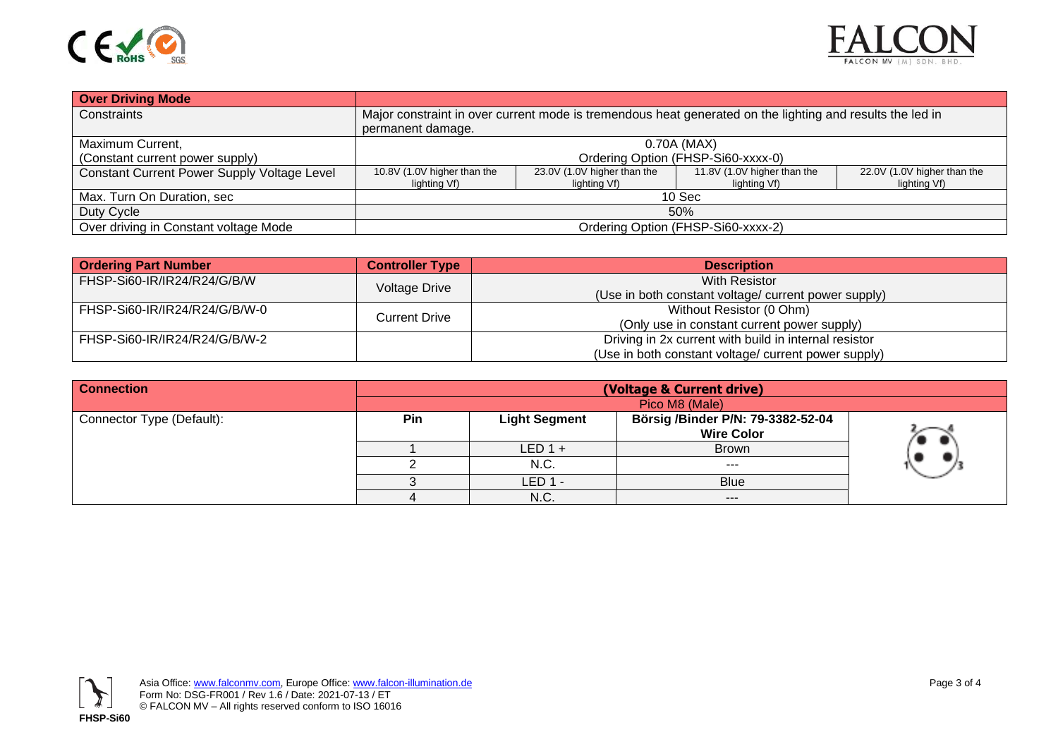



| <b>Over Driving Mode</b>                    |                                                                                                                                |                                             |                                             |                                             |  |  |
|---------------------------------------------|--------------------------------------------------------------------------------------------------------------------------------|---------------------------------------------|---------------------------------------------|---------------------------------------------|--|--|
| Constraints                                 | Major constraint in over current mode is tremendous heat generated on the lighting and results the led in<br>permanent damage. |                                             |                                             |                                             |  |  |
| Maximum Current,                            | 0.70A (MAX)                                                                                                                    |                                             |                                             |                                             |  |  |
| (Constant current power supply)             | Ordering Option (FHSP-Si60-xxxx-0)                                                                                             |                                             |                                             |                                             |  |  |
| Constant Current Power Supply Voltage Level | 10.8V (1.0V higher than the<br>lighting Vf)                                                                                    | 23.0V (1.0V higher than the<br>lighting Vf) | 11.8V (1.0V higher than the<br>lighting Vf) | 22.0V (1.0V higher than the<br>lighting Vf) |  |  |
| Max. Turn On Duration, sec                  |                                                                                                                                |                                             | 10 <sub>sec</sub>                           |                                             |  |  |
| Duty Cycle                                  | 50%                                                                                                                            |                                             |                                             |                                             |  |  |
| Over driving in Constant voltage Mode       | Ordering Option (FHSP-Si60-xxxx-2)                                                                                             |                                             |                                             |                                             |  |  |

| <b>Ordering Part Number</b>   | <b>Controller Type</b> | <b>Description</b>                                    |
|-------------------------------|------------------------|-------------------------------------------------------|
| FHSP-Si60-IR/IR24/R24/G/B/W   | Voltage Drive          | With Resistor                                         |
|                               |                        | (Use in both constant voltage/ current power supply)  |
| FHSP-Si60-IR/IR24/R24/G/B/W-0 | Current Drive          | Without Resistor (0 Ohm)                              |
|                               |                        | (Only use in constant current power supply)           |
| FHSP-Si60-IR/IR24/R24/G/B/W-2 |                        | Driving in 2x current with build in internal resistor |
|                               |                        | (Use in both constant voltage/ current power supply)  |

| <b>Connection</b>         | (Voltage & Current drive) |                      |                                   |  |  |  |  |
|---------------------------|---------------------------|----------------------|-----------------------------------|--|--|--|--|
|                           |                           | Pico M8 (Male)       |                                   |  |  |  |  |
| Connector Type (Default): | Pin                       | <b>Light Segment</b> | Börsig /Binder P/N: 79-3382-52-04 |  |  |  |  |
|                           |                           |                      | <b>Wire Color</b>                 |  |  |  |  |
|                           |                           | $LED 1 +$            | <b>Brown</b>                      |  |  |  |  |
|                           |                           | N.C.                 | $- - -$                           |  |  |  |  |
|                           |                           | LED 1 -              | <b>Blue</b>                       |  |  |  |  |
|                           |                           | N.C.                 | $---$                             |  |  |  |  |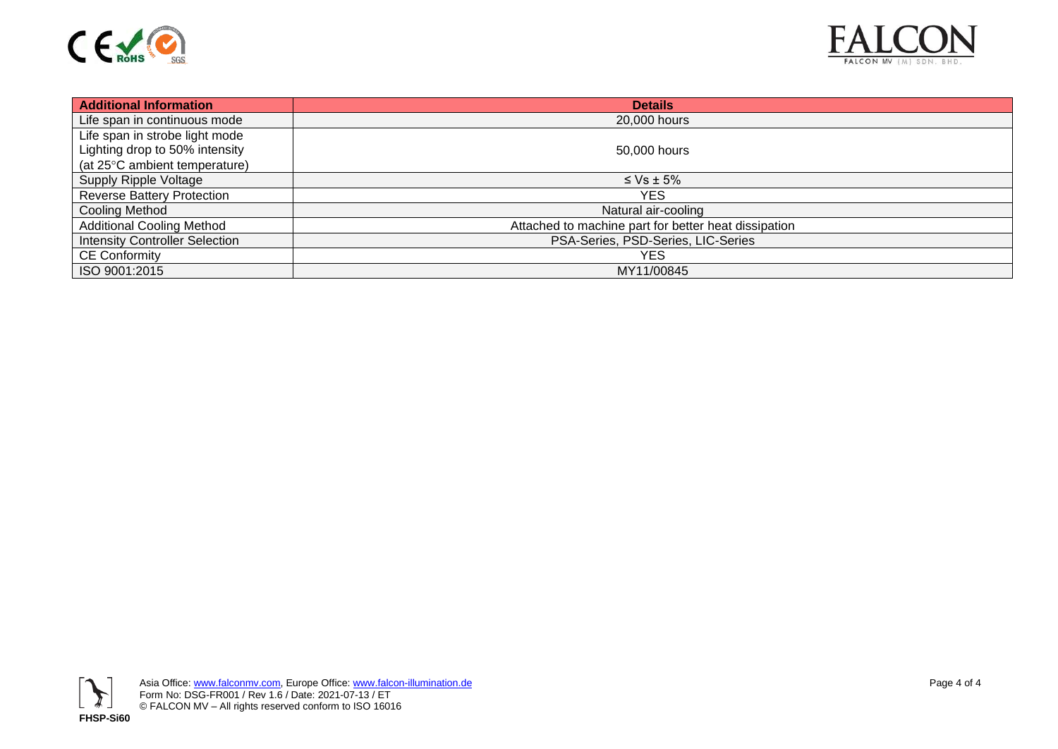



| <b>Additional Information</b>         | <b>Details</b>                                       |
|---------------------------------------|------------------------------------------------------|
| Life span in continuous mode          | 20,000 hours                                         |
| Life span in strobe light mode        |                                                      |
| Lighting drop to 50% intensity        | 50,000 hours                                         |
| (at 25°C ambient temperature)         |                                                      |
| Supply Ripple Voltage                 | $\leq$ Vs $\pm$ 5%                                   |
| Reverse Battery Protection            | YES.                                                 |
| Cooling Method                        | Natural air-cooling                                  |
| <b>Additional Cooling Method</b>      | Attached to machine part for better heat dissipation |
| <b>Intensity Controller Selection</b> | PSA-Series, PSD-Series, LIC-Series                   |
| <b>CE Conformity</b>                  | YES                                                  |
| ISO 9001:2015                         | MY11/00845                                           |